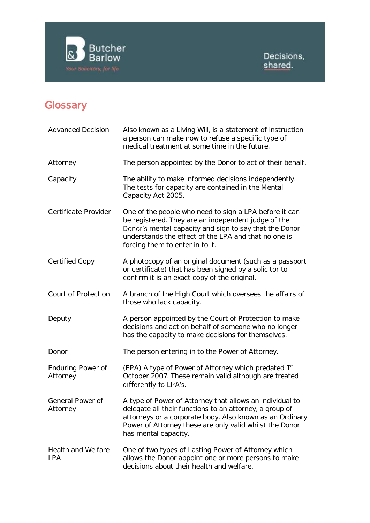

## **Glossary**

| <b>Advanced Decision</b>             | Also known as a Living Will, is a statement of instruction<br>a person can make now to refuse a specific type of<br>medical treatment at some time in the future.                                                                                                  |
|--------------------------------------|--------------------------------------------------------------------------------------------------------------------------------------------------------------------------------------------------------------------------------------------------------------------|
| Attorney                             | The person appointed by the Donor to act of their behalf.                                                                                                                                                                                                          |
| Capacity                             | The ability to make informed decisions independently.<br>The tests for capacity are contained in the Mental<br>Capacity Act 2005.                                                                                                                                  |
| Certificate Provider                 | One of the people who need to sign a LPA before it can<br>be registered. They are an independent judge of the<br>Donor's mental capacity and sign to say that the Donor<br>understands the effect of the LPA and that no one is<br>forcing them to enter in to it. |
| Certified Copy                       | A photocopy of an original document (such as a passport<br>or certificate) that has been signed by a solicitor to<br>confirm it is an exact copy of the original.                                                                                                  |
| Court of Protection                  | A branch of the High Court which oversees the affairs of<br>those who lack capacity.                                                                                                                                                                               |
| Deputy                               | A person appointed by the Court of Protection to make<br>decisions and act on behalf of someone who no longer<br>has the capacity to make decisions for themselves.                                                                                                |
| Donor                                | The person entering in to the Power of Attorney.                                                                                                                                                                                                                   |
| <b>Enduring Power of</b><br>Attorney | (EPA) A type of Power of Attorney which predated 1st<br>October 2007. These remain valid although are treated<br>differently to LPA's.                                                                                                                             |
| General Power of<br>Attorney         | A type of Power of Attorney that allows an individual to<br>delegate all their functions to an attorney, a group of<br>attorneys or a corporate body. Also known as an Ordinary<br>Power of Attorney these are only valid whilst the Donor<br>has mental capacity. |
| Health and Welfare<br><b>LPA</b>     | One of two types of Lasting Power of Attorney which<br>allows the Donor appoint one or more persons to make<br>decisions about their health and welfare.                                                                                                           |